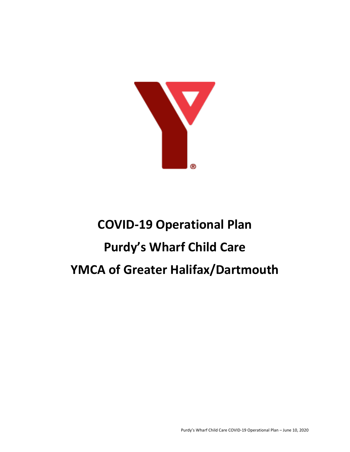

# **COVID-19 Operational Plan Purdy's Wharf Child Care YMCA of Greater Halifax/Dartmouth**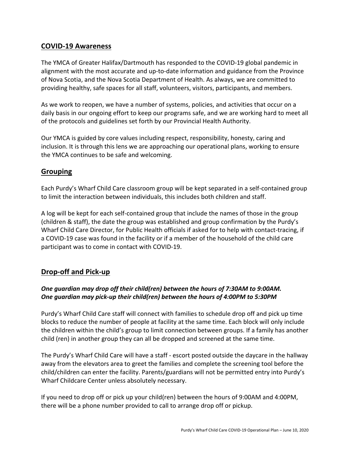# **COVID-19 Awareness**

The YMCA of Greater Halifax/Dartmouth has responded to the COVID-19 global pandemic in alignment with the most accurate and up-to-date information and guidance from the Province of Nova Scotia, and the Nova Scotia Department of Health. As always, we are committed to providing healthy, safe spaces for all staff, volunteers, visitors, participants, and members.

As we work to reopen, we have a number of systems, policies, and activities that occur on a daily basis in our ongoing effort to keep our programs safe, and we are working hard to meet all of the protocols and guidelines set forth by our Provincial Health Authority.

Our YMCA is guided by core values including respect, responsibility, honesty, caring and inclusion. It is through this lens we are approaching our operational plans, working to ensure the YMCA continues to be safe and welcoming.

# **Grouping**

Each Purdy's Wharf Child Care classroom group will be kept separated in a self-contained group to limit the interaction between individuals, this includes both children and staff.

A log will be kept for each self-contained group that include the names of those in the group (children & staff), the date the group was established and group confirmation by the Purdy's Wharf Child Care Director, for Public Health officials if asked for to help with contact-tracing, if a COVID-19 case was found in the facility or if a member of the household of the child care participant was to come in contact with COVID-19.

# **Drop-off and Pick-up**

# *One guardian may drop off their child(ren) between the hours of 7:30AM to 9:00AM. One guardian may pick-up their child(ren) between the hours of 4:00PM to 5:30PM*

Purdy's Wharf Child Care staff will connect with families to schedule drop off and pick up time blocks to reduce the number of people at facility at the same time. Each block will only include the children within the child's group to limit connection between groups. If a family has another child (ren) in another group they can all be dropped and screened at the same time.

The Purdy's Wharf Child Care will have a staff - escort posted outside the daycare in the hallway away from the elevators area to greet the families and complete the screening tool before the child/children can enter the facility. Parents/guardians will not be permitted entry into Purdy's Wharf Childcare Center unless absolutely necessary.

If you need to drop off or pick up your child(ren) between the hours of 9:00AM and 4:00PM, there will be a phone number provided to call to arrange drop off or pickup.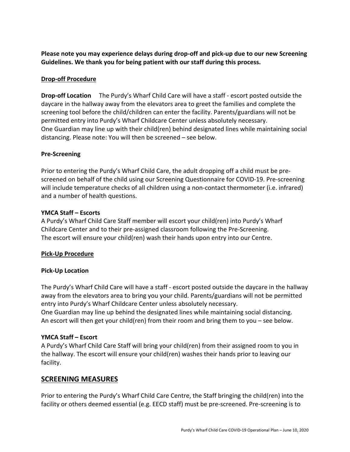**Please note you may experience delays during drop-off and pick-up due to our new Screening Guidelines. We thank you for being patient with our staff during this process.**

## **Drop-off Procedure**

**Drop-off Location** The Purdy's Wharf Child Care will have a staff - escort posted outside the daycare in the hallway away from the elevators area to greet the families and complete the screening tool before the child/children can enter the facility. Parents/guardians will not be permitted entry into Purdy's Wharf Childcare Center unless absolutely necessary. One Guardian may line up with their child(ren) behind designated lines while maintaining social distancing. Please note: You will then be screened – see below.

#### **Pre-Screening**

Prior to entering the Purdy's Wharf Child Care, the adult dropping off a child must be prescreened on behalf of the child using our Screening Questionnaire for COVID-19. Pre-screening will include temperature checks of all children using a non-contact thermometer (i.e. infrared) and a number of health questions.

#### **YMCA Staff – Escorts**

A Purdy's Wharf Child Care Staff member will escort your child(ren) into Purdy's Wharf Childcare Center and to their pre-assigned classroom following the Pre-Screening. The escort will ensure your child(ren) wash their hands upon entry into our Centre.

#### **Pick-Up Procedure**

#### **Pick-Up Location**

The Purdy's Wharf Child Care will have a staff - escort posted outside the daycare in the hallway away from the elevators area to bring you your child. Parents/guardians will not be permitted entry into Purdy's Wharf Childcare Center unless absolutely necessary. One Guardian may line up behind the designated lines while maintaining social distancing. An escort will then get your child(ren) from their room and bring them to you – see below.

# **YMCA Staff – Escort**

A Purdy's Wharf Child Care Staff will bring your child(ren) from their assigned room to you in the hallway. The escort will ensure your child(ren) washes their hands prior to leaving our facility.

# **SCREENING MEASURES**

Prior to entering the Purdy's Wharf Child Care Centre, the Staff bringing the child(ren) into the facility or others deemed essential (e.g. EECD staff) must be pre-screened. Pre-screening is to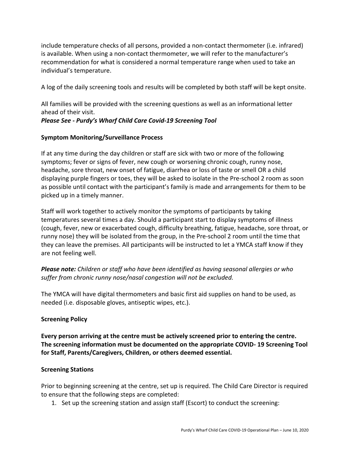include temperature checks of all persons, provided a non-contact thermometer (i.e. infrared) is available. When using a non-contact thermometer, we will refer to the manufacturer's recommendation for what is considered a normal temperature range when used to take an individual's temperature.

A log of the daily screening tools and results will be completed by both staff will be kept onsite.

All families will be provided with the screening questions as well as an informational letter ahead of their visit. *Please See - Purdy's Wharf Child Care Covid-19 Screening Tool*

#### **Symptom Monitoring/Surveillance Process**

If at any time during the day children or staff are sick with two or more of the following symptoms; fever or signs of fever, new cough or worsening chronic cough, runny nose, headache, sore throat, new onset of fatigue, diarrhea or loss of taste or smell OR a child displaying purple fingers or toes, they will be asked to isolate in the Pre-school 2 room as soon as possible until contact with the participant's family is made and arrangements for them to be picked up in a timely manner.

Staff will work together to actively monitor the symptoms of participants by taking temperatures several times a day. Should a participant start to display symptoms of illness (cough, fever, new or exacerbated cough, difficulty breathing, fatigue, headache, sore throat, or runny nose) they will be isolated from the group, in the Pre-school 2 room until the time that they can leave the premises. All participants will be instructed to let a YMCA staff know if they are not feeling well.

*Please note: Children or staff who have been identified as having seasonal allergies or who suffer from chronic runny nose/nasal congestion will not be excluded.* 

The YMCA will have digital thermometers and basic first aid supplies on hand to be used, as needed (i.e. disposable gloves, antiseptic wipes, etc.).

#### **Screening Policy**

**Every person arriving at the centre must be actively screened prior to entering the centre. The screening information must be documented on the appropriate COVID- 19 Screening Tool for Staff, Parents/Caregivers, Children, or others deemed essential.** 

#### **Screening Stations**

Prior to beginning screening at the centre, set up is required. The Child Care Director is required to ensure that the following steps are completed:

1. Set up the screening station and assign staff (Escort) to conduct the screening: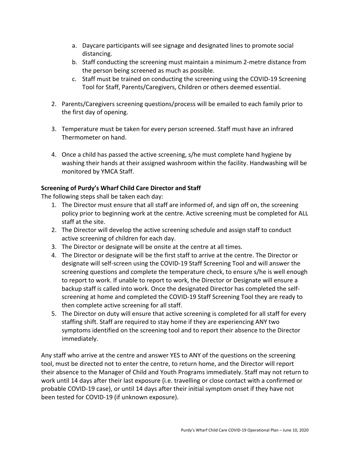- a. Daycare participants will see signage and designated lines to promote social distancing.
- b. Staff conducting the screening must maintain a minimum 2-metre distance from the person being screened as much as possible.
- c. Staff must be trained on conducting the screening using the COVID-19 Screening Tool for Staff, Parents/Caregivers, Children or others deemed essential.
- 2. Parents/Caregivers screening questions/process will be emailed to each family prior to the first day of opening.
- 3. Temperature must be taken for every person screened. Staff must have an infrared Thermometer on hand.
- 4. Once a child has passed the active screening, s/he must complete hand hygiene by washing their hands at their assigned washroom within the facility. Handwashing will be monitored by YMCA Staff.

#### **Screening of Purdy's Wharf Child Care Director and Staff**

The following steps shall be taken each day:

- 1. The Director must ensure that all staff are informed of, and sign off on, the screening policy prior to beginning work at the centre. Active screening must be completed for ALL staff at the site.
- 2. The Director will develop the active screening schedule and assign staff to conduct active screening of children for each day.
- 3. The Director or designate will be onsite at the centre at all times.
- 4. The Director or designate will be the first staff to arrive at the centre. The Director or designate will self-screen using the COVID-19 Staff Screening Tool and will answer the screening questions and complete the temperature check, to ensure s/he is well enough to report to work. If unable to report to work, the Director or Designate will ensure a backup staff is called into work. Once the designated Director has completed the selfscreening at home and completed the COVID-19 Staff Screening Tool they are ready to then complete active screening for all staff.
- 5. The Director on duty will ensure that active screening is completed for all staff for every staffing shift. Staff are required to stay home if they are experiencing ANY two symptoms identified on the screening tool and to report their absence to the Director immediately.

Any staff who arrive at the centre and answer YES to ANY of the questions on the screening tool, must be directed not to enter the centre, to return home, and the Director will report their absence to the Manager of Child and Youth Programs immediately. Staff may not return to work until 14 days after their last exposure (i.e. travelling or close contact with a confirmed or probable COVID-19 case), or until 14 days after their initial symptom onset if they have not been tested for COVID-19 (if unknown exposure).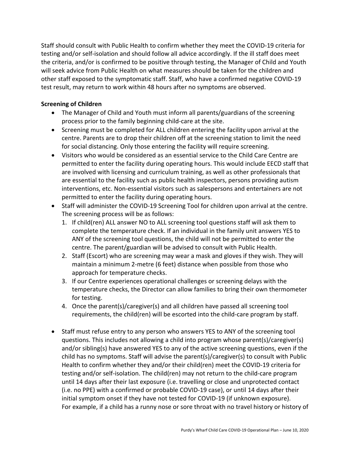Staff should consult with Public Health to confirm whether they meet the COVID-19 criteria for testing and/or self-isolation and should follow all advice accordingly. If the ill staff does meet the criteria, and/or is confirmed to be positive through testing, the Manager of Child and Youth will seek advice from Public Health on what measures should be taken for the children and other staff exposed to the symptomatic staff. Staff, who have a confirmed negative COVID-19 test result, may return to work within 48 hours after no symptoms are observed.

# **Screening of Children**

- The Manager of Child and Youth must inform all parents/guardians of the screening process prior to the family beginning child-care at the site.
- Screening must be completed for ALL children entering the facility upon arrival at the centre. Parents are to drop their children off at the screening station to limit the need for social distancing. Only those entering the facility will require screening.
- Visitors who would be considered as an essential service to the Child Care Centre are permitted to enter the facility during operating hours. This would include EECD staff that are involved with licensing and curriculum training, as well as other professionals that are essential to the facility such as public health inspectors, persons providing autism interventions, etc. Non-essential visitors such as salespersons and entertainers are not permitted to enter the facility during operating hours.
- Staff will administer the COVID-19 Screening Tool for children upon arrival at the centre. The screening process will be as follows:
	- 1. If child(ren) ALL answer NO to ALL screening tool questions staff will ask them to complete the temperature check. If an individual in the family unit answers YES to ANY of the screening tool questions, the child will not be permitted to enter the centre. The parent/guardian will be advised to consult with Public Health.
	- 2. Staff (Escort) who are screening may wear a mask and gloves if they wish. They will maintain a minimum 2-metre (6 feet) distance when possible from those who approach for temperature checks.
	- 3. If our Centre experiences operational challenges or screening delays with the temperature checks, the Director can allow families to bring their own thermometer for testing.
	- 4. Once the parent(s)/caregiver(s) and all children have passed all screening tool requirements, the child(ren) will be escorted into the child-care program by staff.
- Staff must refuse entry to any person who answers YES to ANY of the screening tool questions. This includes not allowing a child into program whose parent(s)/caregiver(s) and/or sibling(s) have answered YES to any of the active screening questions, even if the child has no symptoms. Staff will advise the parent(s)/caregiver(s) to consult with Public Health to confirm whether they and/or their child(ren) meet the COVID-19 criteria for testing and/or self-isolation. The child(ren) may not return to the child-care program until 14 days after their last exposure (i.e. travelling or close and unprotected contact (i.e. no PPE) with a confirmed or probable COVID-19 case), or until 14 days after their initial symptom onset if they have not tested for COVID-19 (if unknown exposure). For example, if a child has a runny nose or sore throat with no travel history or history of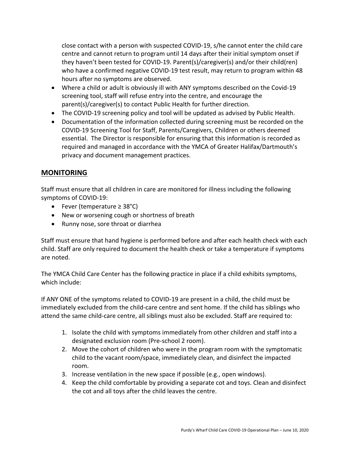close contact with a person with suspected COVID-19, s/he cannot enter the child care centre and cannot return to program until 14 days after their initial symptom onset if they haven't been tested for COVID-19. Parent(s)/caregiver(s) and/or their child(ren) who have a confirmed negative COVID-19 test result, may return to program within 48 hours after no symptoms are observed.

- Where a child or adult is obviously ill with ANY symptoms described on the Covid-19 screening tool, staff will refuse entry into the centre, and encourage the parent(s)/caregiver(s) to contact Public Health for further direction.
- The COVID-19 screening policy and tool will be updated as advised by Public Health.
- Documentation of the information collected during screening must be recorded on the COVID-19 Screening Tool for Staff, Parents/Caregivers, Children or others deemed essential. The Director is responsible for ensuring that this information is recorded as required and managed in accordance with the YMCA of Greater Halifax/Dartmouth's privacy and document management practices.

# **MONITORING**

Staff must ensure that all children in care are monitored for illness including the following symptoms of COVID-19:

- Fever (temperature ≥ 38°C)
- New or worsening cough or shortness of breath
- Runny nose, sore throat or diarrhea

Staff must ensure that hand hygiene is performed before and after each health check with each child. Staff are only required to document the health check or take a temperature if symptoms are noted.

The YMCA Child Care Center has the following practice in place if a child exhibits symptoms, which include:

If ANY ONE of the symptoms related to COVID-19 are present in a child, the child must be immediately excluded from the child-care centre and sent home. If the child has siblings who attend the same child-care centre, all siblings must also be excluded. Staff are required to:

- 1. Isolate the child with symptoms immediately from other children and staff into a designated exclusion room (Pre-school 2 room).
- 2. Move the cohort of children who were in the program room with the symptomatic child to the vacant room/space, immediately clean, and disinfect the impacted room.
- 3. Increase ventilation in the new space if possible (e.g., open windows).
- 4. Keep the child comfortable by providing a separate cot and toys. Clean and disinfect the cot and all toys after the child leaves the centre.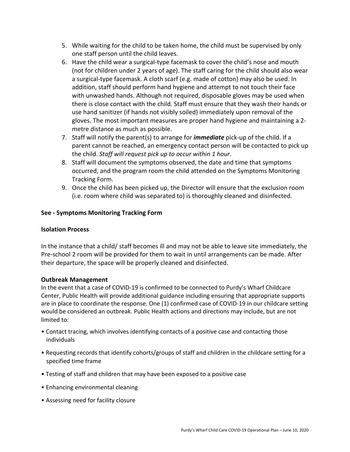- 5. While waiting for the child to be taken home, the child must be supervised by only one staff person until the child leaves.
- 6. Have the child wear a surgical-type facemask to cover the child's nose and mouth (not for children under 2 years of age). The staff caring for the child should also wear a surgical-type facemask. A cloth scarf (e.g. made of cotton) may also be used. In addition, staff should perform hand hygiene and attempt to not touch their face with unwashed hands. Although not required, disposable gloves may be used when there is close contact with the child. Staff must ensure that they wash their hands or use hand sanitizer (if hands not visibly soiled) immediately upon removal of the gloves. The most important measures are proper hand hygiene and maintaining a 2 metre distance as much as possible.
- 7. Staff will notify the parent(s) to arrange for *immediate* pick-up of the child. If a parent cannot be reached, an emergency contact person will be contacted to pick up the child. *Staff will request pick up to occur within 1 hour.*
- 8. Staff will document the symptoms observed, the date and time that symptoms occurred, and the program room the child attended on the Symptoms Monitoring Tracking Form.
- 9. Once the child has been picked up, the Director will ensure that the exclusion room (i.e. room where child was separated to) is thoroughly cleaned and disinfected.

# **See - Symptoms Monitoring Tracking Form**

#### **Isolation Process**

In the instance that a child/ staff becomes ill and may not be able to leave site immediately, the Pre-school 2 room will be provided for them to wait in until arrangements can be made. After their departure, the space will be properly cleaned and disinfected.

#### **Outbreak Management**

In the event that a case of COVID-19 is confirmed to be connected to Purdy's Wharf Childcare Center, Public Health will provide additional guidance including ensuring that appropriate supports are in place to coordinate the response. One (1) confirmed case of COVID-19 in our childcare setting would be considered an outbreak. Public Health actions and directions may include, but are not limited to:

- Contact tracing, which involves identifying contacts of a positive case and contacting those individuals
- Requesting records that identify cohorts/groups of staff and children in the childcare setting for a specified time frame
- Testing of staff and children that may have been exposed to a positive case
- Enhancing environmental cleaning
- Assessing need for facility closure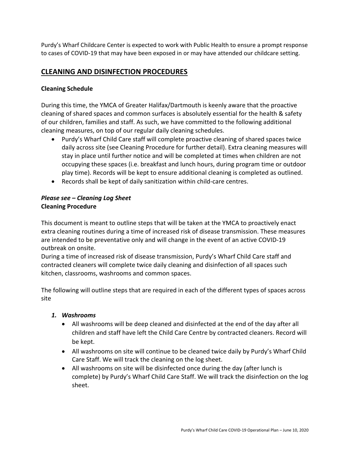Purdy's Wharf Childcare Center is expected to work with Public Health to ensure a prompt response to cases of COVID-19 that may have been exposed in or may have attended our childcare setting.

# **CLEANING AND DISINFECTION PROCEDURES**

#### **Cleaning Schedule**

During this time, the YMCA of Greater Halifax/Dartmouth is keenly aware that the proactive cleaning of shared spaces and common surfaces is absolutely essential for the health & safety of our children, families and staff. As such, we have committed to the following additional cleaning measures, on top of our regular daily cleaning schedules.

- Purdy's Wharf Child Care staff will complete proactive cleaning of shared spaces twice daily across site (see Cleaning Procedure for further detail). Extra cleaning measures will stay in place until further notice and will be completed at times when children are not occupying these spaces (i.e. breakfast and lunch hours, during program time or outdoor play time). Records will be kept to ensure additional cleaning is completed as outlined.
- Records shall be kept of daily sanitization within child-care centres.

#### *Please see – Cleaning Log Sheet* **Cleaning Procedure**

This document is meant to outline steps that will be taken at the YMCA to proactively enact extra cleaning routines during a time of increased risk of disease transmission. These measures are intended to be preventative only and will change in the event of an active COVID-19 outbreak on onsite.

During a time of increased risk of disease transmission, Purdy's Wharf Child Care staff and contracted cleaners will complete twice daily cleaning and disinfection of all spaces such kitchen, classrooms, washrooms and common spaces.

The following will outline steps that are required in each of the different types of spaces across site

#### *1. Washrooms*

- All washrooms will be deep cleaned and disinfected at the end of the day after all children and staff have left the Child Care Centre by contracted cleaners. Record will be kept.
- All washrooms on site will continue to be cleaned twice daily by Purdy's Wharf Child Care Staff. We will track the cleaning on the log sheet.
- All washrooms on site will be disinfected once during the day (after lunch is complete) by Purdy's Wharf Child Care Staff. We will track the disinfection on the log sheet.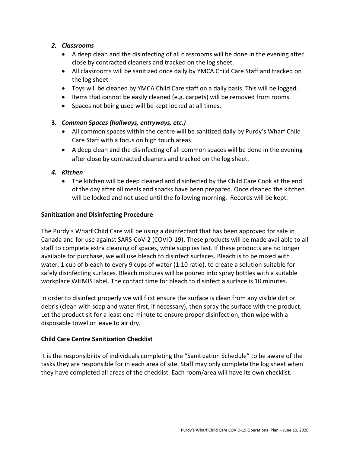# *2. Classrooms*

- A deep clean and the disinfecting of all classrooms will be done in the evening after close by contracted cleaners and tracked on the log sheet.
- All classrooms will be sanitized once daily by YMCA Child Care Staff and tracked on the log sheet.
- Toys will be cleaned by YMCA Child Care staff on a daily basis. This will be logged.
- Items that cannot be easily cleaned (e.g. carpets) will be removed from rooms.
- Spaces not being used will be kept locked at all times.

# **3.** *Common Spaces (hallways, entryways, etc.)*

- All common spaces within the centre will be sanitized daily by Purdy's Wharf Child Care Staff with a focus on high touch areas.
- A deep clean and the disinfecting of all common spaces will be done in the evening after close by contracted cleaners and tracked on the log sheet.

# *4. Kitchen*

• The kitchen will be deep cleaned and disinfected by the Child Care Cook at the end of the day after all meals and snacks have been prepared. Once cleaned the kitchen will be locked and not used until the following morning. Records will be kept.

#### **Sanitization and Disinfecting Procedure**

The Purdy's Wharf Child Care will be using a disinfectant that has been approved for sale in Canada and for use against SARS-CoV-2 (COVID-19). These products will be made available to all staff to complete extra cleaning of spaces, while supplies last. If these products are no longer available for purchase, we will use bleach to disinfect surfaces. Bleach is to be mixed with water, 1 cup of bleach to every 9 cups of water (1:10 ratio), to create a solution suitable for safely disinfecting surfaces. Bleach mixtures will be poured into spray bottles with a suitable workplace WHMIS label. The contact time for bleach to disinfect a surface is 10 minutes.

In order to disinfect properly we will first ensure the surface is clean from any visible dirt or debris (clean with soap and water first, if necessary), then spray the surface with the product. Let the product sit for a least one minute to ensure proper disinfection, then wipe with a disposable towel or leave to air dry.

# **Child Care Centre Sanitization Checklist**

It is the responsibility of individuals completing the "Sanitization Schedule" to be aware of the tasks they are responsible for in each area of site. Staff may only complete the log sheet when they have completed all areas of the checklist. Each room/area will have its own checklist.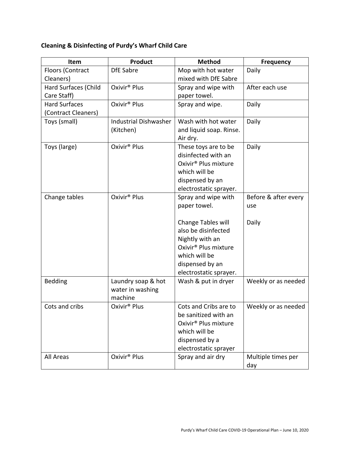# **Cleaning & Disinfecting of Purdy's Wharf Child Care**

| Item                        | <b>Product</b>               | <b>Method</b>                                       | <b>Frequency</b>     |
|-----------------------------|------------------------------|-----------------------------------------------------|----------------------|
| Floors (Contract            | <b>DfE Sabre</b>             | Mop with hot water                                  | Daily                |
| Cleaners)                   |                              | mixed with DfE Sabre                                |                      |
| <b>Hard Surfaces (Child</b> | Oxivir <sup>®</sup> Plus     | Spray and wipe with                                 | After each use       |
| Care Staff)                 |                              | paper towel.                                        |                      |
| <b>Hard Surfaces</b>        | Oxivir <sup>®</sup> Plus     | Spray and wipe.                                     | Daily                |
| (Contract Cleaners)         |                              |                                                     |                      |
| Toys (small)                | <b>Industrial Dishwasher</b> | Wash with hot water                                 | Daily                |
|                             | (Kitchen)                    | and liquid soap. Rinse.                             |                      |
|                             |                              | Air dry.                                            |                      |
| Toys (large)                | Oxivir <sup>®</sup> Plus     | These toys are to be                                | Daily                |
|                             |                              | disinfected with an                                 |                      |
|                             |                              | Oxivir <sup>®</sup> Plus mixture                    |                      |
|                             |                              | which will be                                       |                      |
|                             |                              | dispensed by an                                     |                      |
|                             |                              | electrostatic sprayer.                              |                      |
| Change tables               | Oxivir <sup>®</sup> Plus     | Spray and wipe with                                 | Before & after every |
|                             |                              | paper towel.                                        | use                  |
|                             |                              |                                                     |                      |
|                             |                              | Change Tables will                                  | Daily                |
|                             |                              | also be disinfected                                 |                      |
|                             |                              | Nightly with an<br>Oxivir <sup>®</sup> Plus mixture |                      |
|                             |                              | which will be                                       |                      |
|                             |                              | dispensed by an                                     |                      |
|                             |                              | electrostatic sprayer.                              |                      |
| <b>Bedding</b>              | Laundry soap & hot           | Wash & put in dryer                                 | Weekly or as needed  |
|                             | water in washing             |                                                     |                      |
|                             | machine                      |                                                     |                      |
| Cots and cribs              | Oxivir <sup>®</sup> Plus     | Cots and Cribs are to                               | Weekly or as needed  |
|                             |                              | be sanitized with an                                |                      |
|                             |                              | Oxivir <sup>®</sup> Plus mixture                    |                      |
|                             |                              | which will be                                       |                      |
|                             |                              | dispensed by a                                      |                      |
|                             |                              | electrostatic sprayer                               |                      |
| All Areas                   | Oxivir <sup>®</sup> Plus     | Spray and air dry                                   | Multiple times per   |
|                             |                              |                                                     | day                  |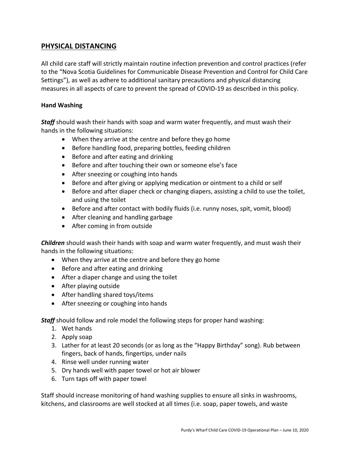# **PHYSICAL DISTANCING**

All child care staff will strictly maintain routine infection prevention and control practices (refer to the "Nova Scotia Guidelines for Communicable Disease Prevention and Control for Child Care Settings"), as well as adhere to additional sanitary precautions and physical distancing measures in all aspects of care to prevent the spread of COVID-19 as described in this policy.

#### **Hand Washing**

*Staff* should wash their hands with soap and warm water frequently, and must wash their hands in the following situations:

- When they arrive at the centre and before they go home
- Before handling food, preparing bottles, feeding children
- Before and after eating and drinking
- Before and after touching their own or someone else's face
- After sneezing or coughing into hands
- Before and after giving or applying medication or ointment to a child or self
- Before and after diaper check or changing diapers, assisting a child to use the toilet, and using the toilet
- Before and after contact with bodily fluids (i.e. runny noses, spit, vomit, blood)
- After cleaning and handling garbage
- After coming in from outside

*Children* should wash their hands with soap and warm water frequently, and must wash their hands in the following situations:

- When they arrive at the centre and before they go home
- Before and after eating and drinking
- After a diaper change and using the toilet
- After playing outside
- After handling shared toys/items
- After sneezing or coughing into hands

**Staff** should follow and role model the following steps for proper hand washing:

- 1. Wet hands
- 2. Apply soap
- 3. Lather for at least 20 seconds (or as long as the "Happy Birthday" song). Rub between fingers, back of hands, fingertips, under nails
- 4. Rinse well under running water
- 5. Dry hands well with paper towel or hot air blower
- 6. Turn taps off with paper towel

Staff should increase monitoring of hand washing supplies to ensure all sinks in washrooms, kitchens, and classrooms are well stocked at all times (i.e. soap, paper towels, and waste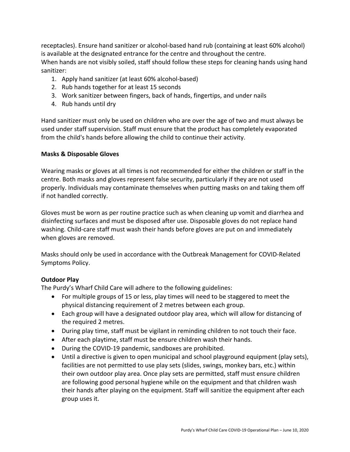receptacles). Ensure hand sanitizer or alcohol-based hand rub (containing at least 60% alcohol) is available at the designated entrance for the centre and throughout the centre. When hands are not visibly soiled, staff should follow these steps for cleaning hands using hand sanitizer:

- 1. Apply hand sanitizer (at least 60% alcohol-based)
- 2. Rub hands together for at least 15 seconds
- 3. Work sanitizer between fingers, back of hands, fingertips, and under nails
- 4. Rub hands until dry

Hand sanitizer must only be used on children who are over the age of two and must always be used under staff supervision. Staff must ensure that the product has completely evaporated from the child's hands before allowing the child to continue their activity.

#### **Masks & Disposable Gloves**

Wearing masks or gloves at all times is not recommended for either the children or staff in the centre. Both masks and gloves represent false security, particularly if they are not used properly. Individuals may contaminate themselves when putting masks on and taking them off if not handled correctly.

Gloves must be worn as per routine practice such as when cleaning up vomit and diarrhea and disinfecting surfaces and must be disposed after use. Disposable gloves do not replace hand washing. Child-care staff must wash their hands before gloves are put on and immediately when gloves are removed.

Masks should only be used in accordance with the Outbreak Management for COVID-Related Symptoms Policy.

# **Outdoor Play**

The Purdy's Wharf Child Care will adhere to the following guidelines:

- For multiple groups of 15 or less, play times will need to be staggered to meet the physical distancing requirement of 2 metres between each group.
- Each group will have a designated outdoor play area, which will allow for distancing of the required 2 metres.
- During play time, staff must be vigilant in reminding children to not touch their face.
- After each playtime, staff must be ensure children wash their hands.
- During the COVID-19 pandemic, sandboxes are prohibited.
- Until a directive is given to open municipal and school playground equipment (play sets), facilities are not permitted to use play sets (slides, swings, monkey bars, etc.) within their own outdoor play area. Once play sets are permitted, staff must ensure children are following good personal hygiene while on the equipment and that children wash their hands after playing on the equipment. Staff will sanitize the equipment after each group uses it.